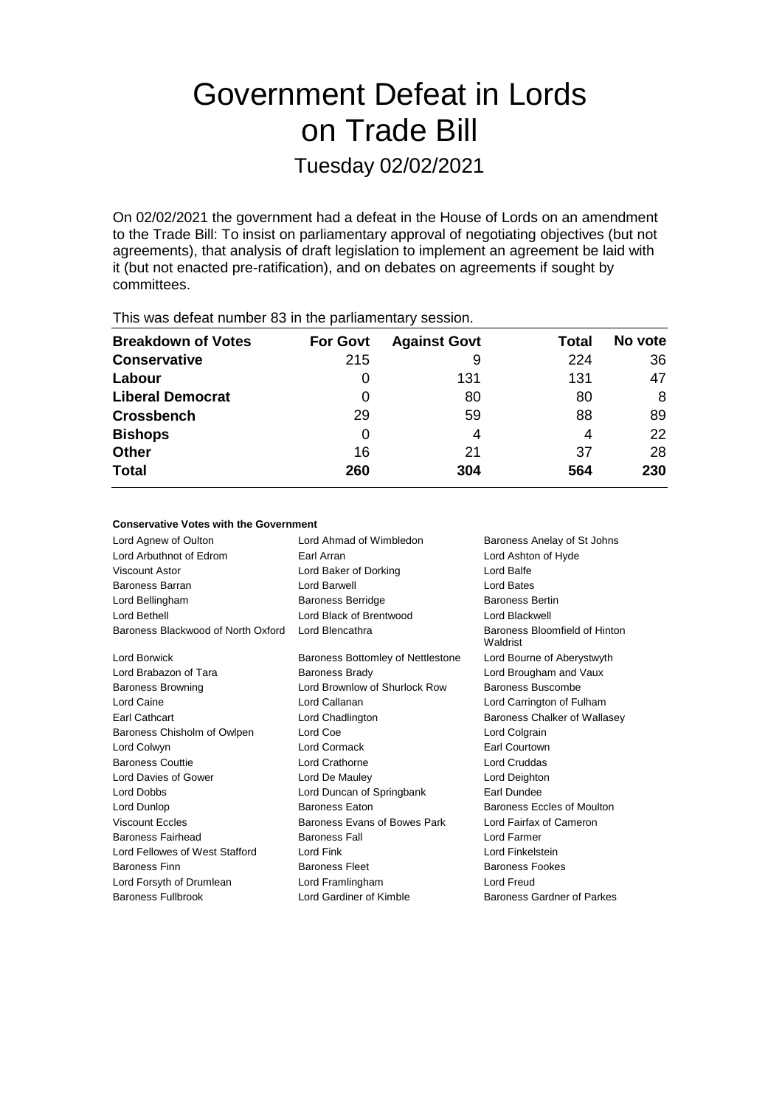# Government Defeat in Lords on Trade Bill

Tuesday 02/02/2021

On 02/02/2021 the government had a defeat in the House of Lords on an amendment to the Trade Bill: To insist on parliamentary approval of negotiating objectives (but not agreements), that analysis of draft legislation to implement an agreement be laid with it (but not enacted pre-ratification), and on debates on agreements if sought by committees.

| This was abloat harmoor oo in the parliamentary occolor. |                 |                     |       |         |  |  |
|----------------------------------------------------------|-----------------|---------------------|-------|---------|--|--|
| <b>Breakdown of Votes</b>                                | <b>For Govt</b> | <b>Against Govt</b> | Total | No vote |  |  |
| <b>Conservative</b>                                      | 215             | 9                   | 224   | 36      |  |  |
| Labour                                                   |                 | 131                 | 131   | 47      |  |  |
| <b>Liberal Democrat</b>                                  | 0               | 80                  | 80    | 8       |  |  |
| <b>Crossbench</b>                                        | 29              | 59                  | 88    | 89      |  |  |
| <b>Bishops</b>                                           | 0               | 4                   | 4     | 22      |  |  |
| <b>Other</b>                                             | 16              | 21                  | 37    | 28      |  |  |
| <b>Total</b>                                             | 260             | 304                 | 564   | 230     |  |  |
|                                                          |                 |                     |       |         |  |  |

This was defeat number 83 in the parliamentary session.

## **Conservative Votes with the Government**

| Lord Agnew of Oulton               | Lord Ahmad of Wimbledon           | Baroness Anelay of St Johns               |
|------------------------------------|-----------------------------------|-------------------------------------------|
| Lord Arbuthnot of Edrom            | Earl Arran                        | Lord Ashton of Hyde                       |
| Viscount Astor                     | Lord Baker of Dorking             | Lord Balfe                                |
| <b>Baroness Barran</b>             | Lord Barwell                      | Lord Bates                                |
| Lord Bellingham                    | <b>Baroness Berridge</b>          | <b>Baroness Bertin</b>                    |
| Lord Bethell                       | Lord Black of Brentwood           | Lord Blackwell                            |
| Baroness Blackwood of North Oxford | Lord Blencathra                   | Baroness Bloomfield of Hinton<br>Waldrist |
| Lord Borwick                       | Baroness Bottomley of Nettlestone | Lord Bourne of Aberystwyth                |
| Lord Brabazon of Tara              | <b>Baroness Brady</b>             | Lord Brougham and Vaux                    |
| <b>Baroness Browning</b>           | Lord Brownlow of Shurlock Row     | Baroness Buscombe                         |
| Lord Caine                         | Lord Callanan                     | Lord Carrington of Fulham                 |
| <b>Earl Cathcart</b>               | Lord Chadlington                  | Baroness Chalker of Wallasey              |
| Baroness Chisholm of Owlpen        | Lord Coe                          | Lord Colgrain                             |
| Lord Colwyn                        | Lord Cormack                      | Earl Courtown                             |
| <b>Baroness Couttie</b>            | Lord Crathorne                    | Lord Cruddas                              |
| Lord Davies of Gower               | Lord De Mauley                    | Lord Deighton                             |
| <b>Lord Dobbs</b>                  | Lord Duncan of Springbank         | Earl Dundee                               |
| Lord Dunlop                        | <b>Baroness Eaton</b>             | <b>Baroness Eccles of Moulton</b>         |
| <b>Viscount Eccles</b>             | Baroness Evans of Bowes Park      | Lord Fairfax of Cameron                   |
| <b>Baroness Fairhead</b>           | <b>Baroness Fall</b>              | Lord Farmer                               |
| Lord Fellowes of West Stafford     | Lord Fink                         | Lord Finkelstein                          |
| <b>Baroness Finn</b>               | <b>Baroness Fleet</b>             | <b>Baroness Fookes</b>                    |
| Lord Forsyth of Drumlean           | Lord Framlingham                  | Lord Freud                                |
| <b>Baroness Fullbrook</b>          | Lord Gardiner of Kimble           | Baroness Gardner of Parkes                |
|                                    |                                   |                                           |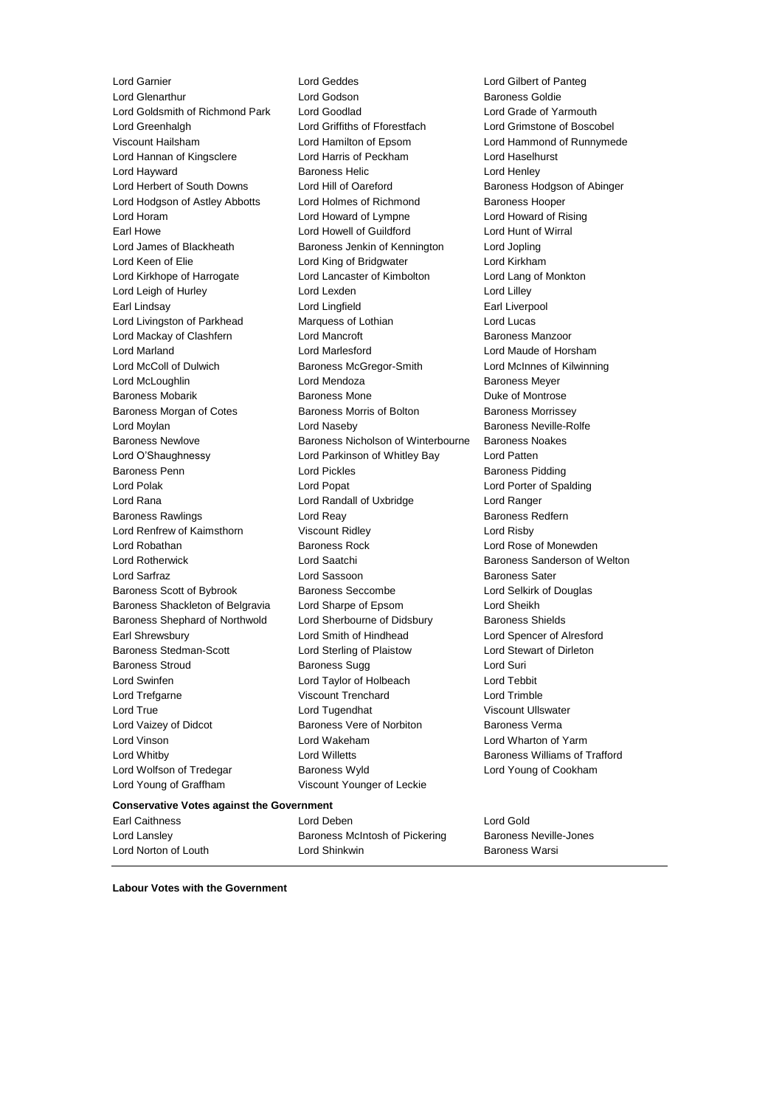Lord Glenarthur Lord Godson<br>
Lord Goldsmith of Richmond Park Lord Goodlad<br>
Lord Goldsmith of Richmond Park Lord Goodlad Lord Grade of Ya Lord Goldsmith of Richmond Park Lord Goodlad Lord Grade of Yarmouth Lord Greenhalgh Lord Griffiths of Fforestfach Lord Grimstone of Boscobel Viscount Hailsham Lord Hamilton of Epsom Lord Hammond of Runnymede Lord Hannan of Kingsclere Lord Harris of Peckham Lord Haselhurst Lord Hayward **Baroness Helic** Lord Henley **Constants Henley** Lord Herbert of South Downs Lord Hill of Oareford Baroness Hodgson of Abinger<br>
Lord Hodgson of Astley Abbotts Lord Holmes of Richmond Baroness Hooper Lord Hodgson of Astley Abbotts Lord Holmes of Richmond Baroness Hooper Lord Horam Lord Howard of Lympne Lord Howard of Rising Earl Howe Lord Howell of Guildford Lord Hunt of Wirral Lord James of Blackheath Baroness Jenkin of Kennington Lord Jopling Lord Keen of Elie Lord King of Bridgwater Lord Kirkham Lord Kirkhope of Harrogate Lord Lancaster of Kimbolton Lord Lang of Monkton Lord Leigh of Hurley **Lord Lord Lexden** Lord Lord Lord Lilley Earl Lindsay Lord Lingfield Earl Liverpool Lord Livingston of Parkhead Marquess of Lothian Lord Lucas Lord Mackay of Clashfern **Lord Mancroft Baroness Manzoor** Baroness Manzoor Lord Marland Lord Marlesford Lord Maude of Horsham Lord McColl of Dulwich Baroness McGregor-Smith Lord McInnes of Kilwinning Lord McLoughlin Lord Mendoza Baroness Meyer Baroness Mobarik **Baroness Mone** Baroness Mone **Duke of Montrose** Baroness Morgan of Cotes Baroness Morris of Bolton Baroness Morrissey Lord Moylan Lord Naseby Baroness Neville-Rolfe Baroness Newlove **Baroness Nicholson of Winterbourne** Baroness Noakes Lord O'Shaughnessy Lord Parkinson of Whitley Bay Lord Patten Baroness Penn **Connect Connect Connect Connect Connect Connect Connect Connect Connect Connect Connect Connect Connect Connect Connect Connect Connect Connect Connect Connect Connect Connect Connect Connect Connect Connect** Lord Polak Lord Popat Lord Porter of Spalding Lord Rana Lord Randall of Uxbridge Lord Ranger Baroness Rawlings **Lord Reay Lord Reay Baroness Redfern** Lord Renfrew of Kaimsthorn Viscount Ridley Lord Risby Lord Robathan **Baroness Rock** Lord Rose of Monewden Lord Rotherwick **Lord Saatchi** Baroness Sanderson of Welton Lord Sarfraz Lord Sassoon Baroness Sater Baroness Scott of Bybrook Baroness Seccombe Lord Selkirk of Douglas Baroness Shackleton of Belgravia Lord Sharpe of Epsom Lord Sheikh Baroness Shephard of Northwold Lord Sherbourne of Didsbury Baroness Shields Earl Shrewsbury Lord Smith of Hindhead Lord Spencer of Alresford Baroness Stedman-Scott **Lord Sterling of Plaistow** Lord Stewart of Dirleton Baroness Stroud **Baroness Sugg Community** Baroness Sugg Lord Suri Lord Swinfen Lord Taylor of Holbeach Lord Tebbit Lord Trefgarne Viscount Trenchard Lord Trimble Lord True **Lord Tugendhat** Viscount Ullswater Lord Vaizey of Didcot **Baroness Vere of Norbiton** Baroness Verma Lord Vinson Lord Wakeham Lord Wharton of Yarm Lord Whitby Lord Willetts Baroness Williams of Trafford Lord Wolfson of Tredegar Baroness Wyld Lord Young of Cookham Lord Young of Graffham Viscount Younger of Leckie

Lord Garnier Lord Geddes Lord Gilbert of Panteg

# **Conservative Votes against the Government**

Earl Caithness Lord Deben Lord Gold Lord Lansley Baroness McIntosh of Pickering Baroness Neville-Jones Lord Norton of Louth Lord Shinkwin Baroness Warsi

**Labour Votes with the Government**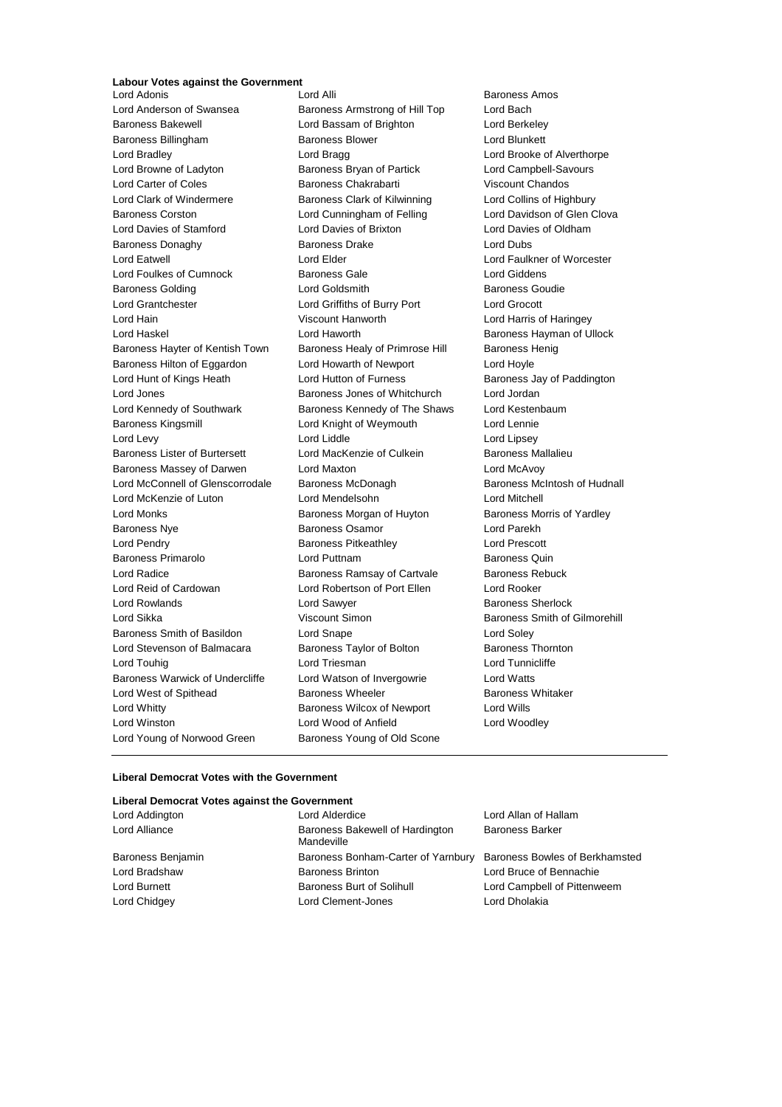## **Labour Votes against the Government**

Lord Adonis Lord Alli Baroness Amos Lord Anderson of Swansea **Baroness Armstrong of Hill Top** Lord Bach Baroness Bakewell Lord Bassam of Brighton Lord Berkeley Baroness Billingham Baroness Blower Lord Blunkett Lord Bradley **Lord Bragg Lord Bragg Lord Brooke of Alverthorpe** Lord Browne of Ladyton Baroness Bryan of Partick Lord Campbell-Savours Lord Carter of Coles Baroness Chakrabarti Viscount Chandos Lord Clark of Windermere Baroness Clark of Kilwinning Lord Collins of Highbury Baroness Corston Lord Cunningham of Felling Lord Davidson of Glen Clova Lord Davies of Stamford Lord Davies of Brixton Lord Davies of Oldham Baroness Donaghy **Baroness Drake** Lord Dubs Lord Eatwell Lord Elder Lord Faulkner of Worcester Lord Foulkes of Cumnock Baroness Gale Lord Giddens Baroness Golding Lord Goldsmith Baroness Goudie Lord Grantchester Lord Griffiths of Burry Port Lord Grocott Lord Hain Viscount Hanworth Lord Harris of Haringey Lord Haskel **Lord Haworth Lord Haworth** Baroness Hayman of Ullock Baroness Hayter of Kentish Town Baroness Healy of Primrose Hill Baroness Henig Baroness Hilton of Eggardon Lord Howarth of Newport Lord Hoyle Lord Hunt of Kings Heath Lord Hutton of Furness **Baroness Jay of Paddington** Lord Jones Baroness Jones of Whitchurch Lord Jordan Lord Kennedy of Southwark **Baroness Kennedy of The Shaws** Lord Kestenbaum Baroness Kingsmill **Lord Knight of Weymouth** Lord Lennie Lord Levy **Lord Liddle** Lord Liddle **Lord Lipsey** Baroness Lister of Burtersett Lord MacKenzie of Culkein Baroness Mallalieu Baroness Massey of Darwen Lord Maxton Lord McAvoy Lord McConnell of Glenscorrodale Baroness McDonagh Baroness Mc Baroness McIntosh of Hudnall Lord McKenzie of Luton Lord Mendelsohn Lord Mitchell Lord Monks **Baroness Morgan of Huyton** Baroness Morris of Yardley Baroness Nye Baroness Osamor Lord Parekh Lord Pendry Baroness Pitkeathley Lord Prescott Baroness Primarolo Lord Puttnam Baroness Quin Lord Radice **Baroness Ramsay of Cartvale** Baroness Rebuck Lord Reid of Cardowan Lord Robertson of Port Ellen Lord Rooker Lord Rowlands **Lord Sawyer Lord Sawyer** Baroness Sherlock Lord Sikka **Viscount Simon** Baroness Smith of Gilmorehill Baroness Smith of Basildon Lord Snape Lord Soley Lord Stevenson of Balmacara Baroness Taylor of Bolton Baroness Thornton Lord Touhig **Lord Triesman** Lord Triesman **Lord Tunnicliffe** Baroness Warwick of Undercliffe Lord Watson of Invergowrie Lord Watts Lord West of Spithead Baroness Wheeler Baroness Whitaker Lord Whitty Baroness Wilcox of Newport Lord Wills Lord Winston Lord Wood of Anfield Lord Woodley Lord Young of Norwood Green Baroness Young of Old Scone

#### **Liberal Democrat Votes with the Government**

### **Liberal Democrat Votes against the Government**

| Lord Addington    | Lord Alderdice                                                    | Lord Allan of Hallam        |
|-------------------|-------------------------------------------------------------------|-----------------------------|
| Lord Alliance     | Baroness Bakewell of Hardington<br>Mandeville                     | <b>Baroness Barker</b>      |
| Baroness Benjamin | Baroness Bonham-Carter of Yarnbury Baroness Bowles of Berkhamsted |                             |
| Lord Bradshaw     | <b>Baroness Brinton</b>                                           | Lord Bruce of Bennachie     |
| Lord Burnett      | Baroness Burt of Solihull                                         | Lord Campbell of Pittenweem |
| Lord Chidgey      | Lord Clement-Jones                                                | Lord Dholakia               |
|                   |                                                                   |                             |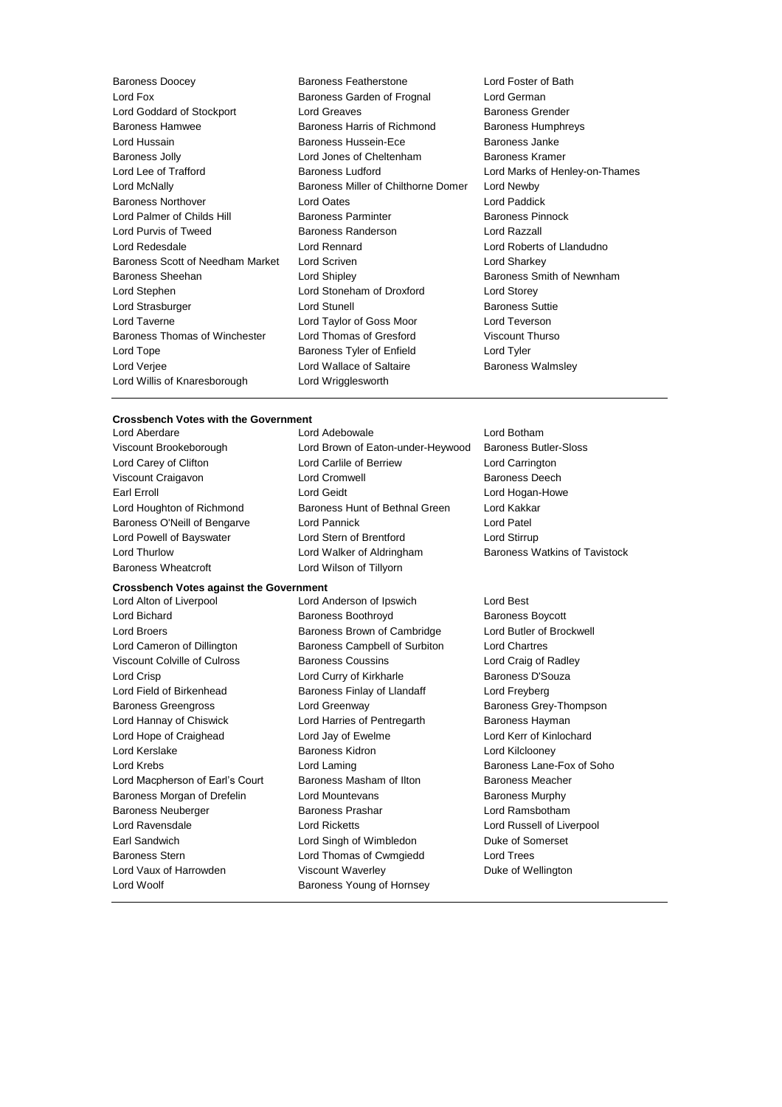Baroness Doocey Baroness Featherstone Lord Foster of Bath Lord Fox Baroness Garden of Frognal Lord German Lord Goddard of Stockport **Lord Greaves** Baroness Grender Baroness Hamwee Baroness Harris of Richmond Baroness Humphreys Lord Hussain Baroness Hussein-Ece Baroness Janke Baroness Jolly Lord Jones of Cheltenham Baroness Kramer Lord Lee of Trafford Baroness Ludford Lord Marks of Henley-on-Thames Lord McNally Baroness Miller of Chilthorne Domer Lord Newby Baroness Northover Lord Oates Lord Paddick Lord Palmer of Childs Hill **Baroness Parminter** Baroness Pinnock Lord Purvis of Tweed Baroness Randerson Lord Razzall Lord Redesdale Lord Rennard Lord Roberts of Llandudno Baroness Scott of Needham Market Lord Scriven Lord Charless Scott of Needham Market Lord Striven Baroness Sheehan **Baroness Sheehan** Lord Shipley **Baroness Smith of Newnham** Lord Stephen Lord Stoneham of Droxford Lord Storey Lord Strasburger **Lord Stunell** Lord Stunell Baroness Suttie Lord Taverne Lord Taylor of Goss Moor Lord Teverson Baroness Thomas of Winchester Lord Thomas of Gresford Viscount Thurso Lord Tope **Baroness Tyler of Enfield** Lord Tyler Lord Verjee **Lord Wallace of Saltaire Baroness Walmsley** Lord Willis of Knaresborough Lord Wrigglesworth

#### **Crossbench Votes with the Government**

- Viscount Brookeborough Lord Brown of Eaton-under-Heywood Baroness Butler-Sloss
- Lord Carey of Clifton Lord Carlile of Berriew Lord Carrington Viscount Craigavon **Lord Cromwell** Lord Cromwell **Baroness** Deech Earl Erroll **Example 20** Example 20 Lord Geidt Lord Hogan-Howe Lord Hogan-Howe Lord Houghton of Richmond Baroness Hunt of Bethnal Green Lord Kakkar Baroness O'Neill of Bengarve Lord Pannick Cord Patel Lord Powell of Bayswater **Lord Stern of Brentford** Lord Stirrup Lord Thurlow **Lord Walker of Aldringham** Baroness Watkins of Tavistock Baroness Wheatcroft **Lord Wilson of Tillyorn**

Lord Aberdare Lord Adebowale Lord Botham

**Crossbench Votes against the Government** Lord Alton of Liverpool Lord Anderson of Ipswich Lord Best Lord Bichard **Baroness Boothroyd** Baroness Boothroyd Baroness Boycott Lord Broers **BRANGE BRANGES** Brown of Cambridge **Lord Butler of Brockwell** Lord Cameron of Dillington Baroness Campbell of Surbiton Lord Chartres Viscount Colville of Culross Baroness Coussins Lord Craig of Radley Lord Crisp **Lord Curry of Kirkharle** Baroness D'Souza Lord Field of Birkenhead **Baroness Finlay of Llandaff** Lord Freyberg Baroness Greengross **Example 2** Lord Greenway **Baroness Grey-Thompson** Lord Hannay of Chiswick **Lord Harries of Pentregarth** Baroness Hayman Lord Hope of Craighead Lord Jay of Ewelme Lord Kerr of Kinlochard Lord Kerslake Baroness Kidron Lord Kilclooney Lord Krebs **Lane-Fox of Soho** Lord Laming **Constanting** Baroness Lane-Fox of Soho Lord Macpherson of Earl's Court Baroness Masham of Ilton Baroness Meacher Baroness Morgan of Drefelin Lord Mountevans **Baroness Murphy** Baroness Neuberger Baroness Prashar Lord Ramsbotham Lord Ravensdale Lord Ricketts Lord Russell of Liverpool Earl Sandwich **Lord Singh of Wimbledon** Duke of Somerset Baroness Stern Lord Thomas of Cwmgiedd Lord Trees Lord Vaux of Harrowden **Viscount Waverley Communist Communist Communist Communist Communist Communist Communist Communist Communist Communist Communist Communist Communist Communist Communist Communist Communist Communist** Lord Woolf **Baroness Young of Hornsey**